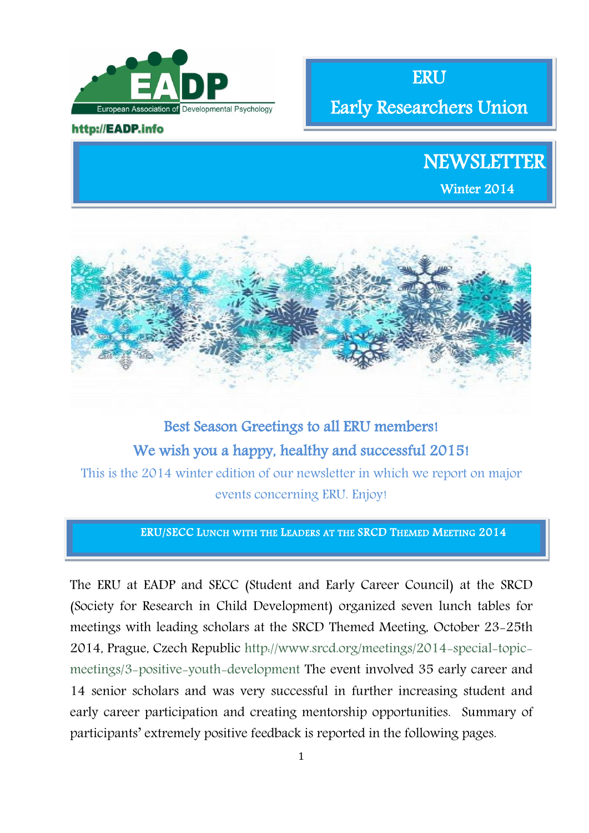

### http://EADP.info

ERU

Early Researchers Union

# **NEWSLETTER**

Winter 2014



# Best Season Greetings to all ERU members! We wish you a happy, healthy and successful 2015!

This is the 2014 winter edition of our newsletter in which we report on major events concerning ERU. Enjoy!

### ERU/SECC LUNCH WITH THE LEADERS AT THE SRCD THEMED MEETING 2014

The ERU at EADP and SECC (Student and Early Career Council) at the SRCD (Society for Research in Child Development) organized seven lunch tables for meetings with leading scholars at the SRCD Themed Meeting, October 23-25th 2014, Prague, Czech Republic [http://www.srcd.org/meetings/2014-special-topic](http://www.srcd.org/meetings/2014-special-topic-meetings/3-positive-youth-development)[meetings/3-positive-youth-development](http://www.srcd.org/meetings/2014-special-topic-meetings/3-positive-youth-development) The event involved 35 early career and 14 senior scholars and was very successful in further increasing student and early career participation and creating mentorship opportunities. Summary of participants' extremely positive feedback is reported in the following pages.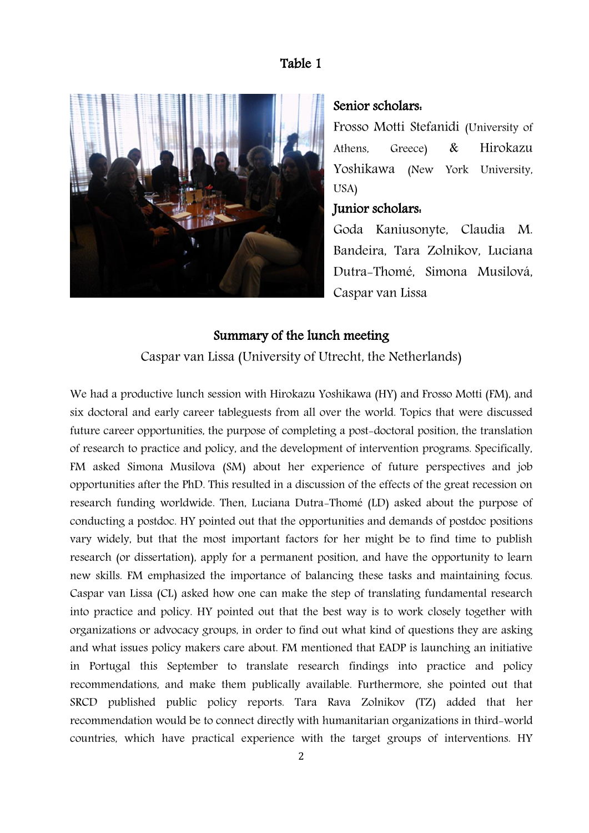# Table 1



# Senior scholars:

Frosso Motti Stefanidi (University of Athens, Greece) & Hirokazu Yoshikawa (New York University, USA)

# Junior scholars:

Goda Kaniusonyte, Claudia M. Bandeira, Tara Zolnikov, Luciana Dutra-Thomé, Simona Musilová, Caspar van Lissa

# Summary of the lunch meeting

Caspar van Lissa (University of Utrecht, the Netherlands)

We had a productive lunch session with Hirokazu Yoshikawa (HY) and Frosso Motti (FM), and six doctoral and early career tableguests from all over the world. Topics that were discussed future career opportunities, the purpose of completing a post-doctoral position, the translation of research to practice and policy, and the development of intervention programs. Specifically, FM asked Simona Musilova (SM) about her experience of future perspectives and job opportunities after the PhD. This resulted in a discussion of the effects of the great recession on research funding worldwide. Then, Luciana Dutra-Thomé (LD) asked about the purpose of conducting a postdoc. HY pointed out that the opportunities and demands of postdoc positions vary widely, but that the most important factors for her might be to find time to publish research (or dissertation), apply for a permanent position, and have the opportunity to learn new skills. FM emphasized the importance of balancing these tasks and maintaining focus. Caspar van Lissa (CL) asked how one can make the step of translating fundamental research into practice and policy. HY pointed out that the best way is to work closely together with organizations or advocacy groups, in order to find out what kind of questions they are asking and what issues policy makers care about. FM mentioned that EADP is launching an initiative in Portugal this September to translate research findings into practice and policy recommendations, and make them publically available. Furthermore, she pointed out that SRCD published public policy reports. Tara Rava Zolnikov (TZ) added that her recommendation would be to connect directly with humanitarian organizations in third-world countries, which have practical experience with the target groups of interventions. HY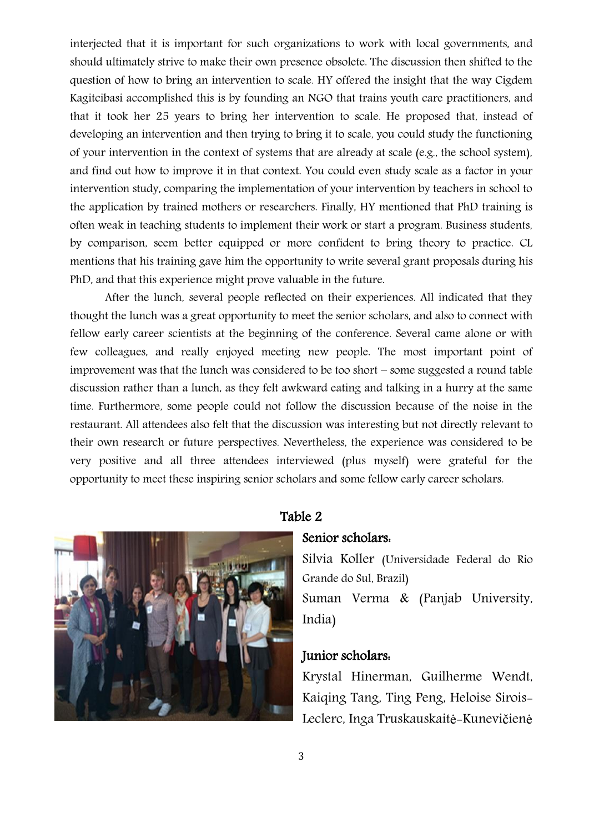interjected that it is important for such organizations to work with local governments, and should ultimately strive to make their own presence obsolete. The discussion then shifted to the question of how to bring an intervention to scale. HY offered the insight that the way Cigdem Kagitcibasi accomplished this is by founding an NGO that trains youth care practitioners, and that it took her 25 years to bring her intervention to scale. He proposed that, instead of developing an intervention and then trying to bring it to scale, you could study the functioning of your intervention in the context of systems that are already at scale (e.g., the school system), and find out how to improve it in that context. You could even study scale as a factor in your intervention study, comparing the implementation of your intervention by teachers in school to the application by trained mothers or researchers. Finally, HY mentioned that PhD training is often weak in teaching students to implement their work or start a program. Business students, by comparison, seem better equipped or more confident to bring theory to practice. CL mentions that his training gave him the opportunity to write several grant proposals during his PhD, and that this experience might prove valuable in the future.

After the lunch, several people reflected on their experiences. All indicated that they thought the lunch was a great opportunity to meet the senior scholars, and also to connect with fellow early career scientists at the beginning of the conference. Several came alone or with few colleagues, and really enjoyed meeting new people. The most important point of improvement was that the lunch was considered to be too short – some suggested a round table discussion rather than a lunch, as they felt awkward eating and talking in a hurry at the same time. Furthermore, some people could not follow the discussion because of the noise in the restaurant. All attendees also felt that the discussion was interesting but not directly relevant to their own research or future perspectives. Nevertheless, the experience was considered to be very positive and all three attendees interviewed (plus myself) were grateful for the opportunity to meet these inspiring senior scholars and some fellow early career scholars.



# Table 2

### Senior scholars:

Silvia Koller (Universidade Federal do Rio Grande do Sul, Brazil) Suman Verma & (Panjab University, India)

# Junior scholars:

Krystal Hinerman, Guilherme Wendt, Kaiqing Tang, Ting Peng, Heloise Sirois-Leclerc, Inga Truskauskaitė-Kunevičienė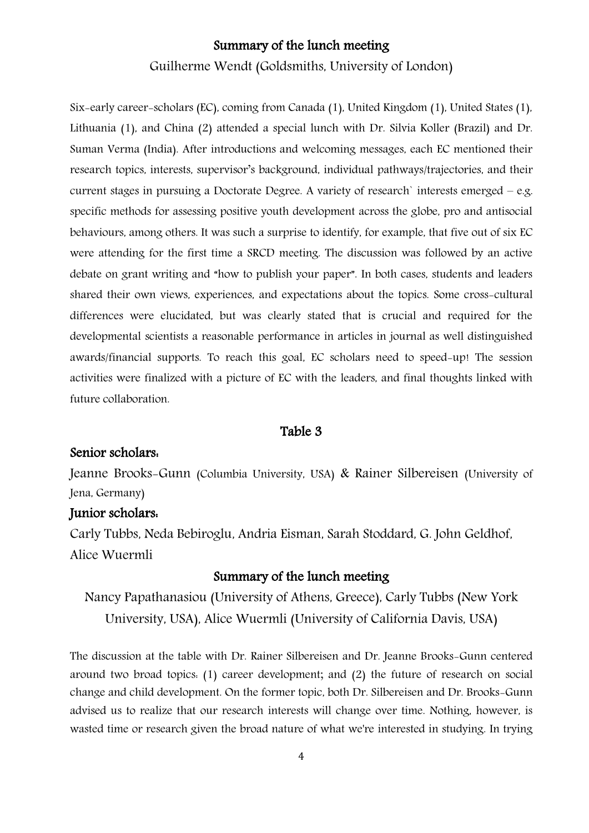# Summary of the lunch meeting

Guilherme Wendt (Goldsmiths, University of London)

Six-early career-scholars (EC), coming from Canada (1), United Kingdom (1), United States (1), Lithuania (1), and China (2) attended a special lunch with Dr. Silvia Koller (Brazil) and Dr. Suman Verma (India). After introductions and welcoming messages, each EC mentioned their research topics, interests, supervisor's background, individual pathways/trajectories, and their current stages in pursuing a Doctorate Degree. A variety of research` interests emerged – e.g. specific methods for assessing positive youth development across the globe, pro and antisocial behaviours, among others. It was such a surprise to identify, for example, that five out of six EC were attending for the first time a SRCD meeting. The discussion was followed by an active debate on grant writing and "how to publish your paper". In both cases, students and leaders shared their own views, experiences, and expectations about the topics. Some cross-cultural differences were elucidated, but was clearly stated that is crucial and required for the developmental scientists a reasonable performance in articles in journal as well distinguished awards/financial supports. To reach this goal, EC scholars need to speed-up! The session activities were finalized with a picture of EC with the leaders, and final thoughts linked with future collaboration.

### Table 3

# Senior scholars:

Jeanne Brooks-Gunn (Columbia University, USA) & Rainer Silbereisen (University of Jena, Germany)

## Junior scholars:

Carly Tubbs, Neda Bebiroglu, Andria Eisman, Sarah Stoddard, G. John Geldhof, Alice Wuermli

## Summary of the lunch meeting

Nancy Papathanasiou (University of Athens, Greece), Carly Tubbs (New York University, USA), Alice Wuermli (University of California Davis, USA)

The discussion at the table with Dr. Rainer Silbereisen and Dr. Jeanne Brooks-Gunn centered around two broad topics: (1) career development; and (2) the future of research on social change and child development. On the former topic, both Dr. Silbereisen and Dr. Brooks-Gunn advised us to realize that our research interests will change over time. Nothing, however, is wasted time or research given the broad nature of what we're interested in studying. In trying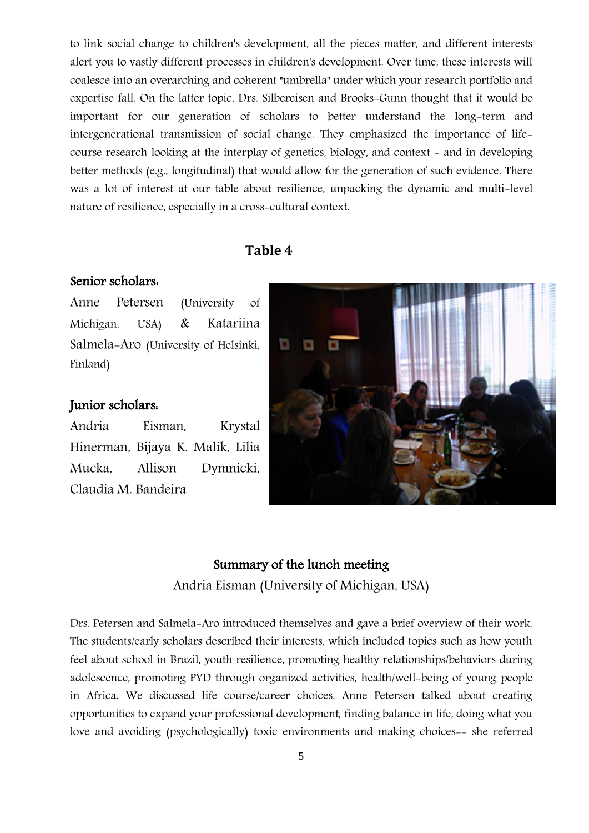to link social change to children's development, all the pieces matter, and different interests alert you to vastly different processes in children's development. Over time, these interests will coalesce into an overarching and coherent "umbrella" under which your research portfolio and expertise fall. On the latter topic, Drs. Silbereisen and Brooks-Gunn thought that it would be important for our generation of scholars to better understand the long-term and intergenerational transmission of social change. They emphasized the importance of lifecourse research looking at the interplay of genetics, biology, and context - and in developing better methods (e.g., longitudinal) that would allow for the generation of such evidence. There was a lot of interest at our table about resilience, unpacking the dynamic and multi-level nature of resilience, especially in a cross-cultural context.

# **Table 4**

# Senior scholars:

Anne Petersen (University of Michigan, USA) & Katariina Salmela-Aro (University of Helsinki, Finland)

### Junior scholars:

Andria Eisman, Krystal Hinerman, Bijaya K. Malik, Lilia Mucka, Allison Dymnicki, Claudia M. Bandeira

# n

# Summary of the lunch meeting

Andria Eisman (University of Michigan, USA)

Drs. Petersen and Salmela-Aro introduced themselves and gave a brief overview of their work. The students/early scholars described their interests, which included topics such as how youth feel about school in Brazil, youth resilience, promoting healthy relationships/behaviors during adolescence, promoting PYD through organized activities, health/well-being of young people in Africa. We discussed life course/career choices. Anne Petersen talked about creating opportunities to expand your professional development, finding balance in life, doing what you love and avoiding (psychologically) toxic environments and making choices-- she referred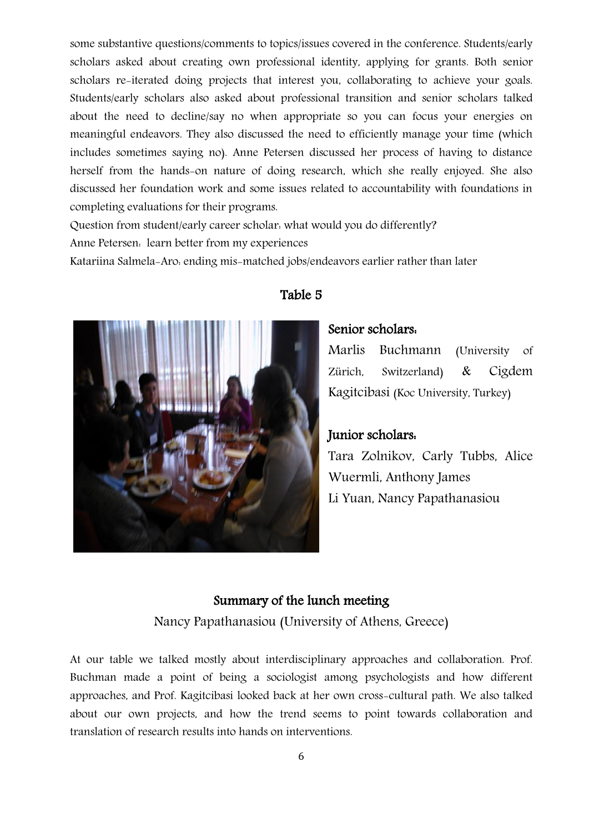some substantive questions/comments to topics/issues covered in the conference. Students/early scholars asked about creating own professional identity, applying for grants. Both senior scholars re-iterated doing projects that interest you, collaborating to achieve your goals. Students/early scholars also asked about professional transition and senior scholars talked about the need to decline/say no when appropriate so you can focus your energies on meaningful endeavors. They also discussed the need to efficiently manage your time (which includes sometimes saying no). Anne Petersen discussed her process of having to distance herself from the hands-on nature of doing research, which she really enjoyed. She also discussed her foundation work and some issues related to accountability with foundations in completing evaluations for their programs.

Question from student/early career scholar: what would you do differently?

Anne Petersen: learn better from my experiences

Katariina Salmela-Aro: ending mis-matched jobs/endeavors earlier rather than later



# Table 5

# Senior scholars:

Marlis Buchmann (University of Zürich, Switzerland) & Cigdem Kagitcibasi (Koc University, Turkey)

# Junior scholars:

Tara Zolnikov, Carly Tubbs, Alice Wuermli, Anthony James Li Yuan, Nancy Papathanasiou

# Summary of the lunch meeting

Nancy Papathanasiou (University of Athens, Greece)

At our table we talked mostly about interdisciplinary approaches and collaboration. Prof. Buchman made a point of being a sociologist among psychologists and how different approaches, and Prof. Kagitcibasi looked back at her own cross-cultural path. We also talked about our own projects, and how the trend seems to point towards collaboration and translation of research results into hands on interventions.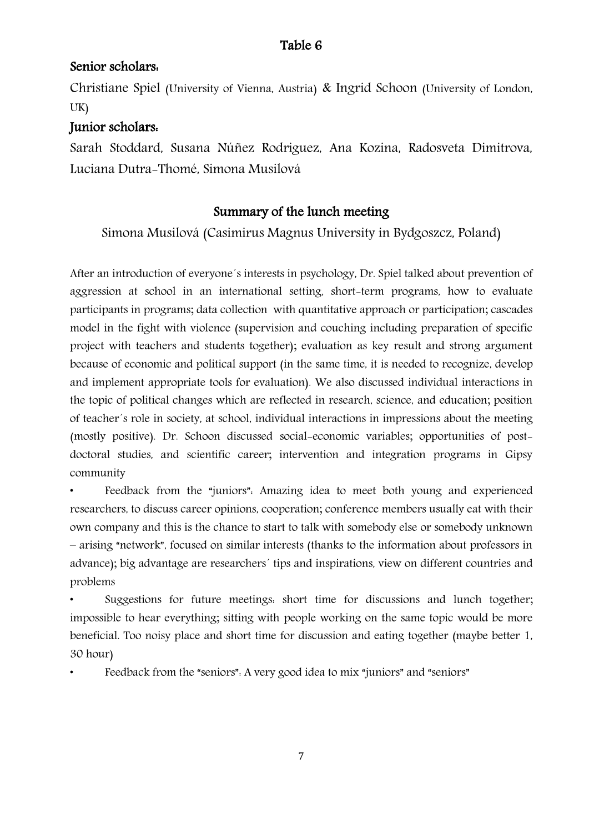# Senior scholars:

Christiane Spiel (University of Vienna, Austria) & Ingrid Schoon (University of London, UK)

# Junior scholars:

Sarah Stoddard, Susana Núñez Rodriguez, Ana Kozina, Radosveta Dimitrova, Luciana Dutra-Thomé, Simona Musilová

# Summary of the lunch meeting

Simona Musilová (Casimirus Magnus University in Bydgoszcz, Poland)

After an introduction of everyone´s interests in psychology, Dr. Spiel talked about prevention of aggression at school in an international setting, short-term programs, how to evaluate participants in programs; data collection with quantitative approach or participation; cascades model in the fight with violence (supervision and couching including preparation of specific project with teachers and students together); evaluation as key result and strong argument because of economic and political support (in the same time, it is needed to recognize, develop and implement appropriate tools for evaluation). We also discussed individual interactions in the topic of political changes which are reflected in research, science, and education; position of teacher´s role in society, at school, individual interactions in impressions about the meeting (mostly positive). Dr. Schoon discussed social-economic variables; opportunities of postdoctoral studies, and scientific career; intervention and integration programs in Gipsy community

• Feedback from the "juniors": Amazing idea to meet both young and experienced researchers, to discuss career opinions, cooperation; conference members usually eat with their own company and this is the chance to start to talk with somebody else or somebody unknown – arising "network", focused on similar interests (thanks to the information about professors in advance); big advantage are researchers´ tips and inspirations, view on different countries and problems

• Suggestions for future meetings: short time for discussions and lunch together; impossible to hear everything; sitting with people working on the same topic would be more beneficial. Too noisy place and short time for discussion and eating together (maybe better 1, 30 hour)

• Feedback from the "seniors": A very good idea to mix "juniors" and "seniors"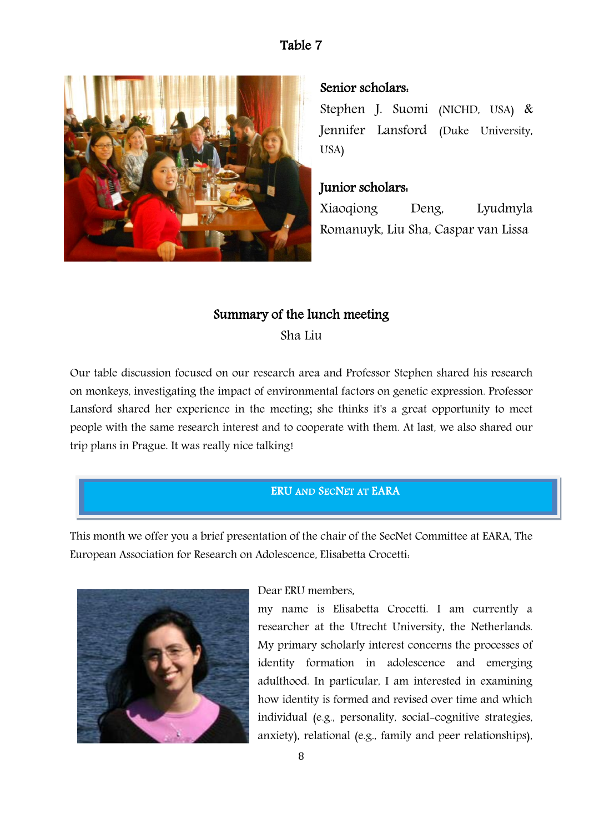

# Senior scholars:

Stephen J. Suomi (NICHD, USA) & Jennifer Lansford (Duke University, USA)

# Junior scholars:

Xiaoqiong Deng, Lyudmyla Romanuyk, Liu Sha, Caspar van Lissa

# Summary of the lunch meeting

Sha Liu

Our table discussion focused on our research area and Professor Stephen shared his research on monkeys, investigating the impact of environmental factors on genetic expression. Professor Lansford shared her experience in the meeting; she thinks it's a great opportunity to meet people with the same research interest and to cooperate with them. At last, we also shared our trip plans in Prague. It was really nice talking!

# ERU AND SECNET AT EARA

This month we offer you a brief presentation of the chair of the SecNet Committee at EARA, The European Association for Research on Adolescence, Elisabetta Crocetti:



### Dear ERU members,

my name is Elisabetta Crocetti. I am currently a researcher at the Utrecht University, the Netherlands. My primary scholarly interest concerns the processes of identity formation in adolescence and emerging adulthood. In particular, I am interested in examining how identity is formed and revised over time and which individual (e.g., personality, social-cognitive strategies, anxiety), relational (e.g., family and peer relationships),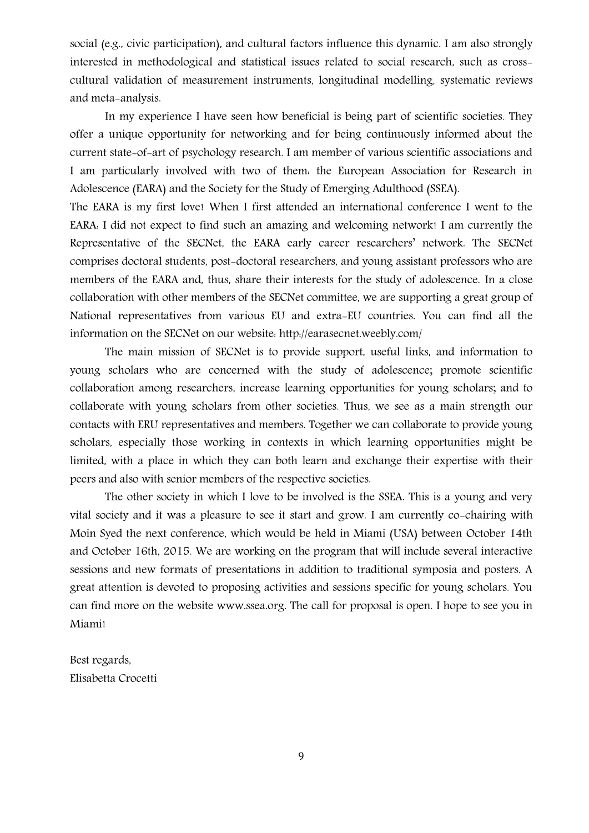social (e.g., civic participation), and cultural factors influence this dynamic. I am also strongly interested in methodological and statistical issues related to social research, such as crosscultural validation of measurement instruments, longitudinal modelling, systematic reviews and meta-analysis.

In my experience I have seen how beneficial is being part of scientific societies. They offer a unique opportunity for networking and for being continuously informed about the current state-of-art of psychology research. I am member of various scientific associations and I am particularly involved with two of them: the European Association for Research in Adolescence (EARA) and the Society for the Study of Emerging Adulthood (SSEA).

The EARA is my first love! When I first attended an international conference I went to the EARA: I did not expect to find such an amazing and welcoming network! I am currently the Representative of the SECNet, the EARA early career researchers' network. The SECNet comprises doctoral students, post-doctoral researchers, and young assistant professors who are members of the EARA and, thus, share their interests for the study of adolescence. In a close collaboration with other members of the SECNet committee, we are supporting a great group of National representatives from various EU and extra-EU countries. You can find all the information on the SECNet on our website:<http://earasecnet.weebly.com/>

The main mission of SECNet is to provide support, useful links, and information to young scholars who are concerned with the study of adolescence; promote scientific collaboration among researchers, increase learning opportunities for young scholars; and to collaborate with young scholars from other societies. Thus, we see as a main strength our contacts with ERU representatives and members. Together we can collaborate to provide young scholars, especially those working in contexts in which learning opportunities might be limited, with a place in which they can both learn and exchange their expertise with their peers and also with senior members of the respective societies.

The other society in which I love to be involved is the SSEA. This is a young and very vital society and it was a pleasure to see it start and grow. I am currently co-chairing with Moin Syed the next conference, which would be held in Miami (USA) between October 14th and October 16th, 2015. We are working on the program that will include several interactive sessions and new formats of presentations in addition to traditional symposia and posters. A great attention is devoted to proposing activities and sessions specific for young scholars. You can find more on the website www.ssea.org. The call for proposal is open. I hope to see you in Miami!

Best regards, Elisabetta Crocetti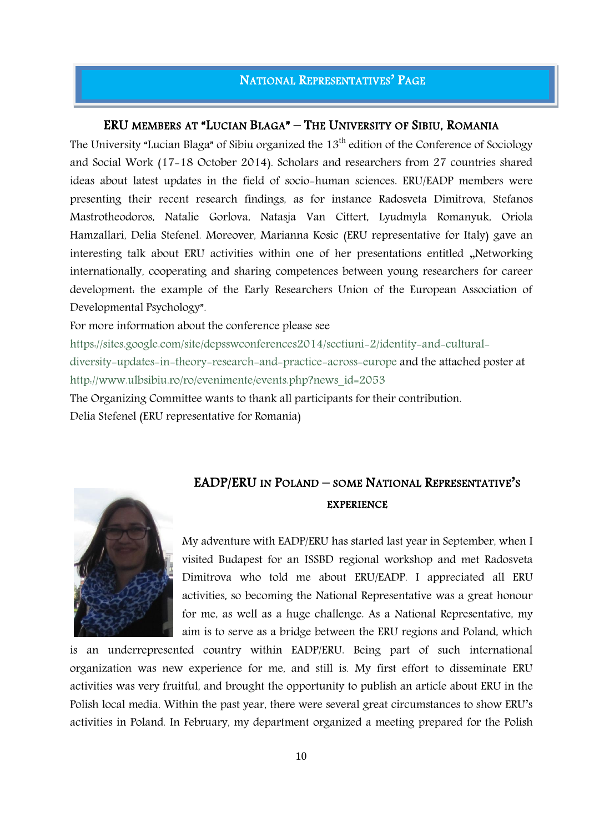# NATIONAL REPRESENTATIVES' PAGE

# ERU MEMBERS AT "LUCIAN BLAGA" – THE UNIVERSITY OF SIBIU, ROMANIA

The University "Lucian Blaga" of Sibiu organized the 13<sup>th</sup> edition of the Conference of Sociology and Social Work (17-18 October 2014). Scholars and researchers from 27 countries shared ideas about latest updates in the field of socio-human sciences. ERU/EADP members were presenting their recent research findings, as for instance Radosveta Dimitrova, Stefanos Mastrotheodoros, Natalie Gorlova, Natasja Van Cittert, Lyudmyla Romanyuk, Oriola Hamzallari, Delia Stefenel. Moreover, Marianna Kosic (ERU representative for Italy) gave an interesting talk about ERU activities within one of her presentations entitled "Networking internationally, cooperating and sharing competences between young researchers for career development: the example of the Early Researchers Union of the European Association of Developmental Psychology".

For more information about the conference please see

[https://sites.google.com/site/depsswconferences2014/sectiuni-2/identity-and-cultural-](https://sites.google.com/site/depsswconferences2014/sectiuni-2/identity-and-cultural-diversity-updates-in-theory-research-and-practice-across-europe)

[diversity-updates-in-theory-research-and-practice-across-europe](https://sites.google.com/site/depsswconferences2014/sectiuni-2/identity-and-cultural-diversity-updates-in-theory-research-and-practice-across-europe) and the attached poster at [http://www.ulbsibiu.ro/ro/evenimente/events.php?news\\_id=2053](http://www.ulbsibiu.ro/ro/evenimente/events.php?news_id=2053)

The Organizing Committee wants to thank all participants for their contribution.

Delia Stefenel (ERU representative for Romania)

# EADP/ERU IN POLAND – SOME NATIONAL REPRESENTATIVE'S EXPERIENCE



My adventure with EADP/ERU has started last year in September, when I visited Budapest for an ISSBD regional workshop and met Radosveta Dimitrova who told me about ERU/EADP. I appreciated all ERU activities, so becoming the National Representative was a great honour for me, as well as a huge challenge. As a National Representative, my aim is to serve as a bridge between the ERU regions and Poland, which

is an underrepresented country within EADP/ERU. Being part of such international organization was new experience for me, and still is. My first effort to disseminate ERU activities was very fruitful, and brought the opportunity to publish an article about ERU in the Polish local media. Within the past year, there were several great circumstances to show ERU's activities in Poland. In February, my department organized a meeting prepared for the Polish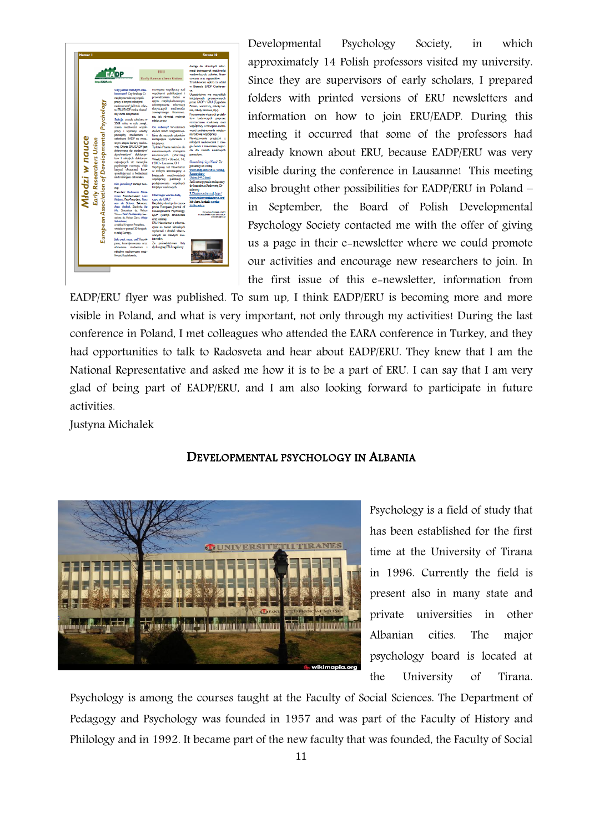

Developmental Psychology Society, in which approximately 14 Polish professors visited my university. Since they are supervisors of early scholars, I prepared folders with printed versions of ERU newsletters and information on how to join ERU/EADP. During this meeting it occurred that some of the professors had already known about ERU, because EADP/ERU was very visible during the conference in Lausanne! This meeting also brought other possibilities for EADP/ERU in Poland – in September, the Board of Polish Developmental Psychology Society contacted me with the offer of giving us a page in their e-newsletter where we could promote our activities and encourage new researchers to join. In the first issue of this e-newsletter, information from

EADP/ERU flyer was published. To sum up, I think EADP/ERU is becoming more and more visible in Poland, and what is very important, not only through my activities! During the last conference in Poland, I met colleagues who attended the EARA conference in Turkey, and they had opportunities to talk to Radosveta and hear about EADP/ERU. They knew that I am the National Representative and asked me how it is to be a part of ERU. I can say that I am very glad of being part of EADP/ERU, and I am also looking forward to participate in future activities.

Justyna Michalek



### DEVELOPMENTAL PSYCHOLOGY IN ALBANIA

Psychology is a field of study that has been established for the first time at the University of Tirana in 1996. Currently the field is present also in many state and private universities in other Albanian cities. The major psychology board is located at the University of Tirana.

Psychology is among the courses taught at the Faculty of Social Sciences. The Department of Pedagogy and Psychology was founded in 1957 and was part of the Faculty of History and Philology and in 1992. It became part of the new faculty that was founded, the Faculty of Social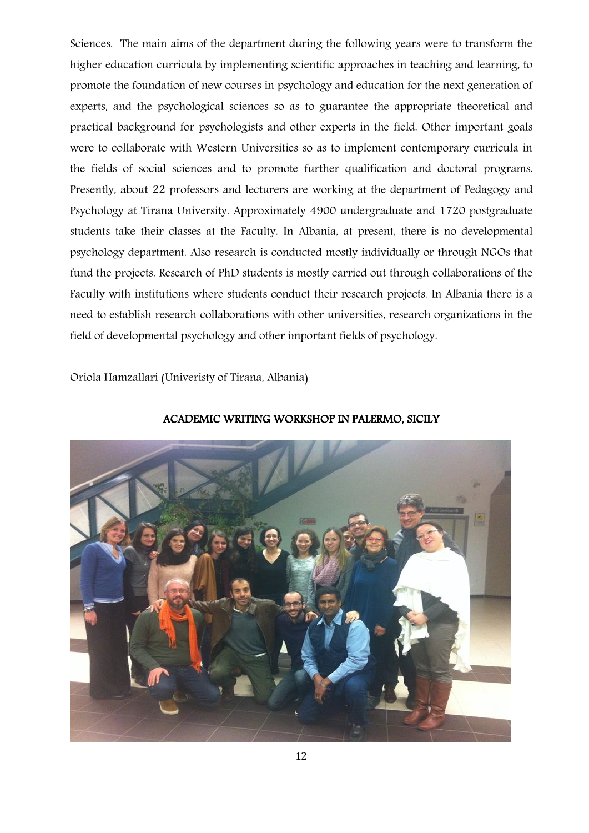Sciences. The main aims of the department during the following years were to transform the higher education curricula by implementing scientific approaches in teaching and learning, to promote the foundation of new courses in psychology and education for the next generation of experts, and the psychological sciences so as to guarantee the appropriate theoretical and practical background for psychologists and other experts in the field. Other important goals were to collaborate with Western Universities so as to implement contemporary curricula in the fields of social sciences and to promote further qualification and doctoral programs. Presently, about 22 professors and lecturers are working at the department of Pedagogy and Psychology at Tirana University. Approximately 4900 undergraduate and 1720 postgraduate students take their classes at the Faculty. In Albania, at present, there is no developmental psychology department. Also research is conducted mostly individually or through NGOs that fund the projects. Research of PhD students is mostly carried out through collaborations of the Faculty with institutions where students conduct their research projects. In Albania there is a need to establish research collaborations with other universities, research organizations in the field of developmental psychology and other important fields of psychology.

Oriola Hamzallari (Univeristy of Tirana, Albania)



ACADEMIC WRITING WORKSHOP IN PALERMO, SICILY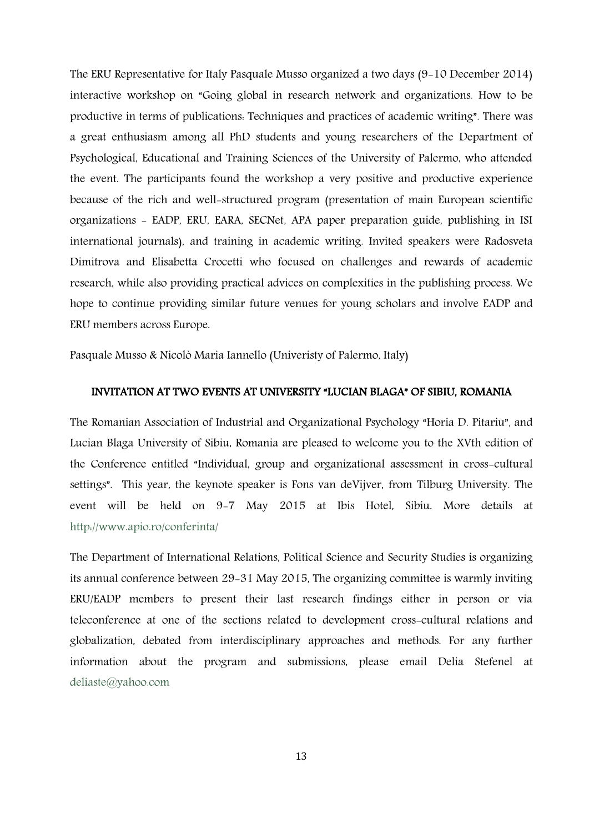The ERU Representative for Italy Pasquale Musso organized a two days (9-10 December 2014) interactive workshop on "Going global in research network and organizations. How to be productive in terms of publications: Techniques and practices of academic writing". There was a great enthusiasm among all PhD students and young researchers of the Department of Psychological, Educational and Training Sciences of the University of Palermo, who attended the event. The participants found the workshop a very positive and productive experience because of the rich and well-structured program (presentation of main European scientific organizations - EADP, ERU, EARA, SECNet, APA paper preparation guide, publishing in ISI international journals), and training in academic writing. Invited speakers were Radosveta Dimitrova and Elisabetta Crocetti who focused on challenges and rewards of academic research, while also providing practical advices on complexities in the publishing process. We hope to continue providing similar future venues for young scholars and involve EADP and ERU members across Europe.

Pasquale Musso & Nicolò Maria Iannello (Univeristy of Palermo, Italy)

### INVITATION AT TWO EVENTS AT UNIVERSITY "LUCIAN BLAGA" OF SIBIU, ROMANIA

The Romanian Association of Industrial and Organizational Psychology "Horia D. Pitariu", and Lucian Blaga University of Sibiu, Romania are pleased to welcome you to the XVth edition of the Conference entitled "Individual, group and organizational assessment in cross-cultural settings". This year, the keynote speaker is Fons van deVijver, from Tilburg University. The event will be held on 9-7 May 2015 at Ibis Hotel, Sibiu. More details at <http://www.apio.ro/conferinta/>

The Department of International Relations, Political Science and Security Studies is organizing its annual conference between 29-31 May 2015, The organizing committee is warmly inviting ERU/EADP members to present their last research findings either in person or via teleconference at one of the sections related to development cross-cultural relations and globalization, debated from interdisciplinary approaches and methods. For any further information about the program and submissions, please email Delia Stefenel at [deliaste@yahoo.com](mailto:deliaste@yahoo.com)